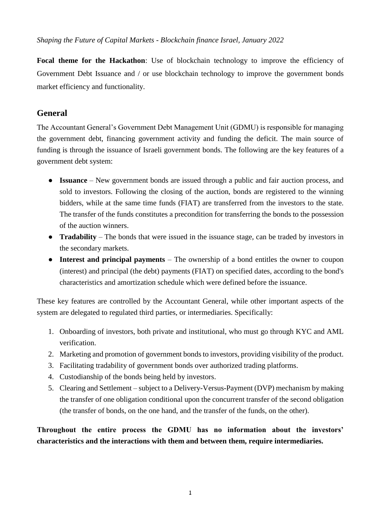*Shaping the Future of Capital Markets - Blockchain finance Israel, January 2022* 

Focal theme for the Hackathon: Use of blockchain technology to improve the efficiency of Government Debt Issuance and / or use blockchain technology to improve the government bonds market efficiency and functionality.

# **General**

The Accountant General's Government Debt Management Unit (GDMU) is responsible for managing the government debt, financing government activity and funding the deficit. The main source of funding is through the issuance of Israeli government bonds. The following are the key features of a government debt system:

- **Issuance**  New government bonds are issued through a public and fair auction process, and sold to investors. Following the closing of the auction, bonds are registered to the winning bidders, while at the same time funds (FIAT) are transferred from the investors to the state. The transfer of the funds constitutes a precondition for transferring the bonds to the possession of the auction winners.
- **Tradability** The bonds that were issued in the issuance stage, can be traded by investors in the secondary markets.
- **Interest and principal payments**  The ownership of a bond entitles the owner to coupon (interest) and principal (the debt) payments (FIAT) on specified dates, according to the bond's characteristics and amortization schedule which were defined before the issuance.

These key features are controlled by the Accountant General, while other important aspects of the system are delegated to regulated third parties, or intermediaries. Specifically:

- 1. Onboarding of investors, both private and institutional, who must go through KYC and AML verification.
- 2. Marketing and promotion of government bonds to investors, providing visibility of the product.
- 3. Facilitating tradability of government bonds over authorized trading platforms.
- 4. Custodianship of the bonds being held by investors.
- 5. Clearing and Settlement subject to a Delivery-Versus-Payment (DVP) mechanism by making the transfer of one obligation conditional upon the concurrent transfer of the second obligation (the transfer of bonds, on the one hand, and the transfer of the funds, on the other).

**Throughout the entire process the GDMU has no information about the investors' characteristics and the interactions with them and between them, require intermediaries.**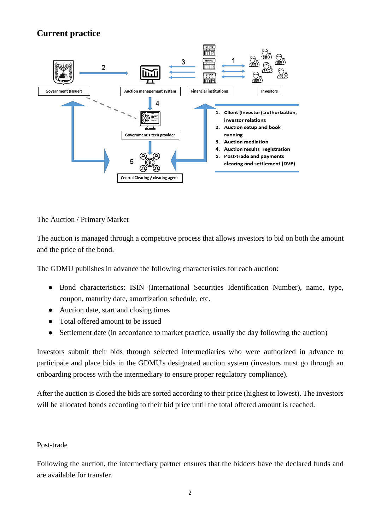# **Current practice**



The Auction / Primary Market

The auction is managed through a competitive process that allows investors to bid on both the amount and the price of the bond.

The GDMU publishes in advance the following characteristics for each auction:

- Bond characteristics: ISIN (International Securities Identification Number), name, type, coupon, maturity date, amortization schedule, etc.
- Auction date, start and closing times
- Total offered amount to be issued
- Settlement date (in accordance to market practice, usually the day following the auction)

Investors submit their bids through selected intermediaries who were authorized in advance to participate and place bids in the GDMU's designated auction system (investors must go through an onboarding process with the intermediary to ensure proper regulatory compliance).

After the auction is closed the bids are sorted according to their price (highest to lowest). The investors will be allocated bonds according to their bid price until the total offered amount is reached.

#### Post-trade

Following the auction, the intermediary partner ensures that the bidders have the declared funds and are available for transfer.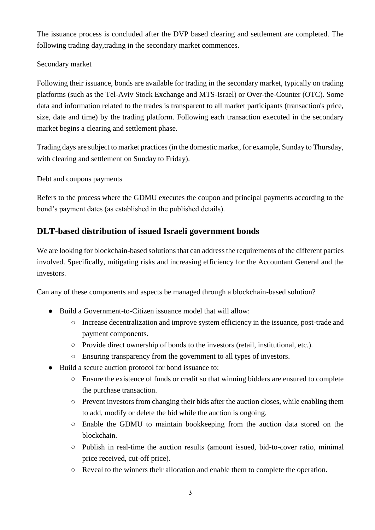The issuance process is concluded after the DVP based clearing and settlement are completed. The following trading day,trading in the secondary market commences.

### Secondary market

Following their issuance, bonds are available for trading in the secondary market, typically on trading platforms (such as the Tel-Aviv Stock Exchange and MTS-Israel) or Over-the-Counter (OTC). Some data and information related to the trades is transparent to all market participants (transaction's price, size, date and time) by the trading platform. Following each transaction executed in the secondary market begins a clearing and settlement phase.

Trading days are subject to market practices (in the domestic market, for example, Sunday to Thursday, with clearing and settlement on Sunday to Friday).

Debt and coupons payments

Refers to the process where the GDMU executes the coupon and principal payments according to the bond's payment dates (as established in the published details).

## **DLT-based distribution of issued Israeli government bonds**

We are looking for blockchain-based solutions that can address the requirements of the different parties involved. Specifically, mitigating risks and increasing efficiency for the Accountant General and the investors.

Can any of these components and aspects be managed through a blockchain-based solution?

- Build a Government-to-Citizen issuance model that will allow:
	- Increase decentralization and improve system efficiency in the issuance, post-trade and payment components.
	- Provide direct ownership of bonds to the investors (retail, institutional, etc.).
	- Ensuring transparency from the government to all types of investors.
- Build a secure auction protocol for bond issuance to:
	- Ensure the existence of funds or credit so that winning bidders are ensured to complete the purchase transaction.
	- Prevent investors from changing their bids after the auction closes, while enabling them to add, modify or delete the bid while the auction is ongoing.
	- Enable the GDMU to maintain bookkeeping from the auction data stored on the blockchain.
	- $\circ$  Publish in real-time the auction results (amount issued, bid-to-cover ratio, minimal price received, cut-off price).
	- Reveal to the winners their allocation and enable them to complete the operation.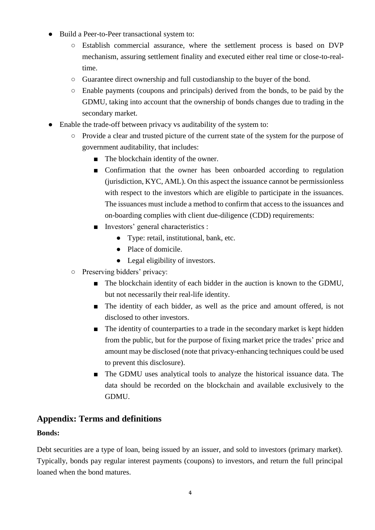- Build a Peer-to-Peer transactional system to:
	- Establish commercial assurance, where the settlement process is based on DVP mechanism, assuring settlement finality and executed either real time or close-to-realtime.
	- Guarantee direct ownership and full custodianship to the buyer of the bond.
	- Enable payments (coupons and principals) derived from the bonds, to be paid by the GDMU, taking into account that the ownership of bonds changes due to trading in the secondary market.
- Enable the trade-off between privacy vs auditability of the system to:
	- Provide a clear and trusted picture of the current state of the system for the purpose of government auditability, that includes:
		- The blockchain identity of the owner.
		- Confirmation that the owner has been onboarded according to regulation (jurisdiction, KYC, AML). On this aspect the issuance cannot be permissionless with respect to the investors which are eligible to participate in the issuances. The issuances must include a method to confirm that access to the issuances and on-boarding complies with client due-diligence (CDD) requirements:
		- Investors' general characteristics :
			- Type: retail, institutional, bank, etc.
			- Place of domicile.
			- Legal eligibility of investors.
	- Preserving bidders' privacy:
		- The blockchain identity of each bidder in the auction is known to the GDMU, but not necessarily their real-life identity.
		- The identity of each bidder, as well as the price and amount offered, is not disclosed to other investors.
		- The identity of counterparties to a trade in the secondary market is kept hidden from the public, but for the purpose of fixing market price the trades' price and amount may be disclosed (note that privacy-enhancing techniques could be used to prevent this disclosure).
		- The GDMU uses analytical tools to analyze the historical issuance data. The data should be recorded on the blockchain and available exclusively to the GDMU.

# **Appendix: Terms and definitions**

### **Bonds:**

Debt securities are a type of loan, being issued by an issuer, and sold to investors (primary market). Typically, bonds pay regular interest payments (coupons) to investors, and return the full principal loaned when the bond matures.